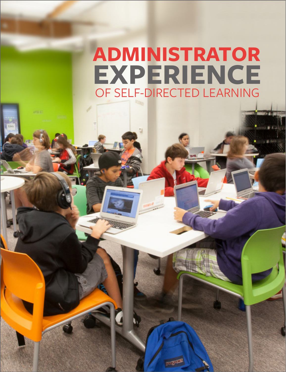## **ADMINISTRATOR EXPERIENCE** OF SELF-DIRECTED LEARNING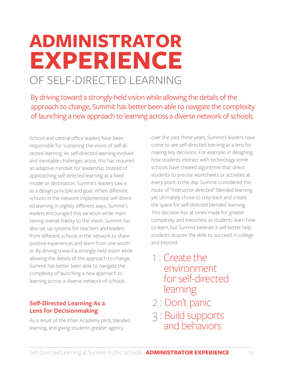# **ADMINISTRATOR EXPERIENCE** OF SELF-DIRECTED LEARNING

By driving toward a strongly-held vision while allowing the details of the approach to change, Summit has better been able to navigate the complexity of launching a new approach to learning across a diverse network of schools.

School and central office leaders have been responsible for sustaining the vision of self-directed learning. As self-directed learning evolved and inevitable challenges arose, this has required an adaptive mindset for leadership. Instead of approaching self-directed learning as a fixed model or destination, Summit's leaders saw it as a design principle and goal. When different schools in the network implemented self-directed learning in slightly different ways, Summit's leaders encouraged this variation while maintaining overall fidelity to the vision. Summit has also set up systems for teachers and leaders from different schools in the network to share positive experiences and learn from one another. By driving toward a strongly-held vision while allowing the details of the approach to change, Summit has better been able to navigate the complexity of launching a new approach to learning across a diverse network of schools.

#### **Self-Directed Learning As a Lens for Decisionmaking**

As a result of the Khan Academy pilot, blended learning, and giving students greater agency

over the past three years, Summit's leaders have come to see self-directed learning as a lens for making key decisions. For example, in designing how students interact with technology some schools have created algorithms that direct students to precise worksheets or activities at every point in the day. Summit considered this route of "instructor-directed" blended learning, yet ultimately chose to step back and create the space for *self-*directed blended learning. This decision has at times made for greater complexity and messiness as students learn how to learn, but Summit believes it will better help students acquire the skills to succeed in college and beyond.

- 1 : Create the environmentfor self-directed learning
- 2 : Don't panic
- 3 : <sup>B</sup>uild supports and behaviors